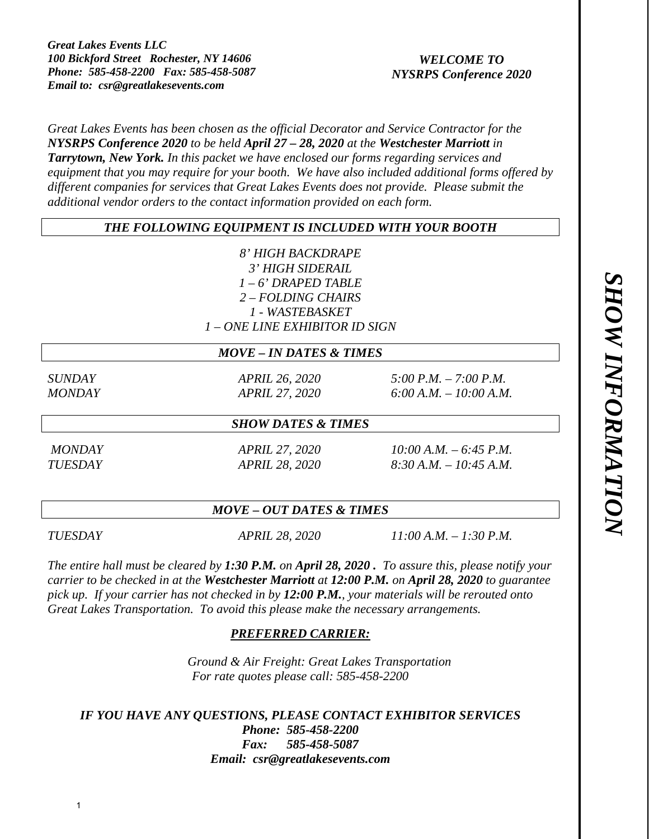# *WELCOME TO NYSRPS Conference 2020*

*Great Lakes Events has been chosen as the official Decorator and Service Contractor for the NYSRPS Conference 2020 to be held April 27 – 28, 2020 at the Westchester Marriott in Tarrytown, New York. In this packet we have enclosed our forms regarding services and equipment that you may require for your booth. We have also included additional forms offered by different companies for services that Great Lakes Events does not provide. Please submit the additional vendor orders to the contact information provided on each form.*

# *THE FOLLOWING EQUIPMENT IS INCLUDED WITH YOUR BOOTH*

*8' HIGH BACKDRAPE 3' HIGH SIDERAIL 1 – 6' DRAPED TABLE 2 – FOLDING CHAIRS 1 - WASTEBASKET 1 – ONE LINE EXHIBITOR ID SIGN* 

## *MOVE – IN DATES & TIMES*

*SUNDAY APRIL 26, 2020 5:00 P.M. – 7:00 P.M. MONDAY APRIL 27, 2020 6:00 A.M. – 10:00 A.M.* 

## *SHOW DATES & TIMES*

 *MONDAY APRIL 27, 2020 10:00 A.M. – 6:45 P.M. TUESDAY APRIL 28, 2020 8:30 A.M. – 10:45 A.M.* 

# *MOVE – OUT DATES & TIMES*

*TUESDAY APRIL 28, 2020 11:00 A.M. – 1:30 P.M.* 

*The entire hall must be cleared by 1:30 P.M. on April 28, 2020 . To assure this, please notify your carrier to be checked in at the Westchester Marriott at 12:00 P.M. on April 28, 2020 to guarantee pick up. If your carrier has not checked in by 12:00 P.M., your materials will be rerouted onto Great Lakes Transportation. To avoid this please make the necessary arrangements.* 

# *PREFERRED CARRIER:*

*Ground & Air Freight: Great Lakes Transportation For rate quotes please call: 585-458-2200* 

*IF YOU HAVE ANY QUESTIONS, PLEASE CONTACT EXHIBITOR SERVICES Phone: 585-458-2200 Fax: 585-458-5087 Email: csr@greatlakesevents.com*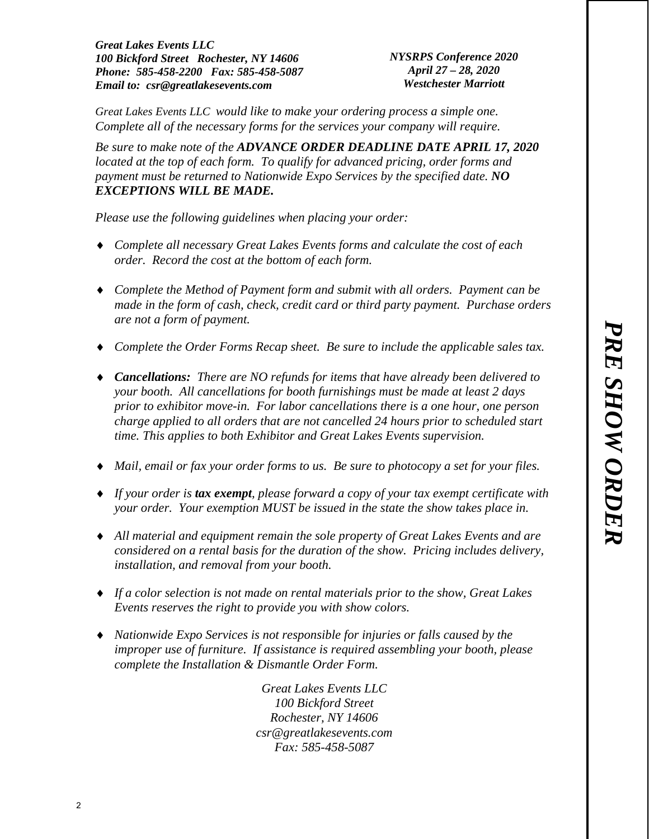*NYSRPS Conference 2020 April 27 – 28, 2020 Westchester Marriott* 

*Great Lakes Events LLC would like to make your ordering process a simple one. Complete all of the necessary forms for the services your company will require.* 

*Be sure to make note of the ADVANCE ORDER DEADLINE DATE APRIL 17, 2020* located at the top of each form. To qualify for advanced pricing, order forms and *payment must be returned to Nationwide Expo Services by the specified date. NO EXCEPTIONS WILL BE MADE.*

*Please use the following guidelines when placing your order:* 

- *Complete all necessary Great Lakes Events forms and calculate the cost of each order. Record the cost at the bottom of each form.*
- *Complete the Method of Payment form and submit with all orders. Payment can be made in the form of cash, check, credit card or third party payment. Purchase orders are not a form of payment.*
- *Complete the Order Forms Recap sheet. Be sure to include the applicable sales tax.*
- *Cancellations: There are NO refunds for items that have already been delivered to your booth. All cancellations for booth furnishings must be made at least 2 days prior to exhibitor move-in. For labor cancellations there is a one hour, one person charge applied to all orders that are not cancelled 24 hours prior to scheduled start time. This applies to both Exhibitor and Great Lakes Events supervision.*
- *Mail, email or fax your order forms to us. Be sure to photocopy a set for your files.*
- *If your order is tax exempt, please forward a copy of your tax exempt certificate with your order. Your exemption MUST be issued in the state the show takes place in.*
- *All material and equipment remain the sole property of Great Lakes Events and are considered on a rental basis for the duration of the show. Pricing includes delivery, installation, and removal from your booth.*
- *If a color selection is not made on rental materials prior to the show, Great Lakes Events reserves the right to provide you with show colors.*
- *Nationwide Expo Services is not responsible for injuries or falls caused by the improper use of furniture. If assistance is required assembling your booth, please complete the Installation & Dismantle Order Form.*

*Great Lakes Events LLC 100 Bickford Street Rochester, NY 14606 csr@greatlakesevents.com Fax: 585-458-5087*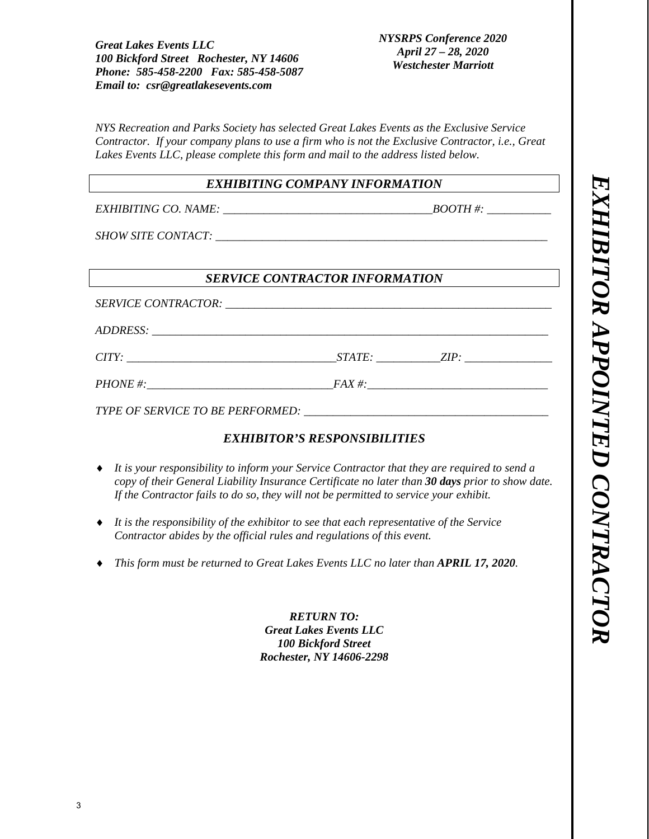*NYSRPS Conference 2020 April 27 – 28, 2020 Westchester Marriott* 

*NYS Recreation and Parks Society has selected Great Lakes Events as the Exclusive Service Contractor. If your company plans to use a firm who is not the Exclusive Contractor, i.e., Great Lakes Events LLC, please complete this form and mail to the address listed below.* 

# *EXHIBITING COMPANY INFORMATION*

*EXHIBITING CO. NAME:*  $\begin{array}{c} \hline \text{BOOTH}\,\text{#:} \end{array}$ 

*SHOW SITE CONTACT:*  $\blacksquare$ 

# *SERVICE CONTRACTOR INFORMATION*

 $SERVICE$  *CONTRACTOR:*  $\overline{C}$ 

*ADDRESS: \_\_\_\_\_\_\_\_\_\_\_\_\_\_\_\_\_\_\_\_\_\_\_\_\_\_\_\_\_\_\_\_\_\_\_\_\_\_\_\_\_\_\_\_\_\_\_\_\_\_\_\_\_\_\_\_\_\_\_\_\_\_\_\_\_\_\_\_* 

*CITY: STATE: ZIP: ZIP: <i>D* 

*PHONE #:\_\_\_\_\_\_\_\_\_\_\_\_\_\_\_\_\_\_\_\_\_\_\_\_\_\_\_\_\_\_\_\_FAX #:\_\_\_\_\_\_\_\_\_\_\_\_\_\_\_\_\_\_\_\_\_\_\_\_\_\_\_\_\_\_\_* 

*TYPE OF SERVICE TO BE PERFORMED:* 

# *EXHIBITOR'S RESPONSIBILITIES*

- *It is your responsibility to inform your Service Contractor that they are required to send a copy of their General Liability Insurance Certificate no later than 30 days prior to show date. If the Contractor fails to do so, they will not be permitted to service your exhibit.*
- *It is the responsibility of the exhibitor to see that each representative of the Service Contractor abides by the official rules and regulations of this event.*
- *This form must be returned to Great Lakes Events LLC no later than APRIL 17, 2020.*

*RETURN TO: Great Lakes Events LLC 100 Bickford Street Rochester, NY 14606-2298*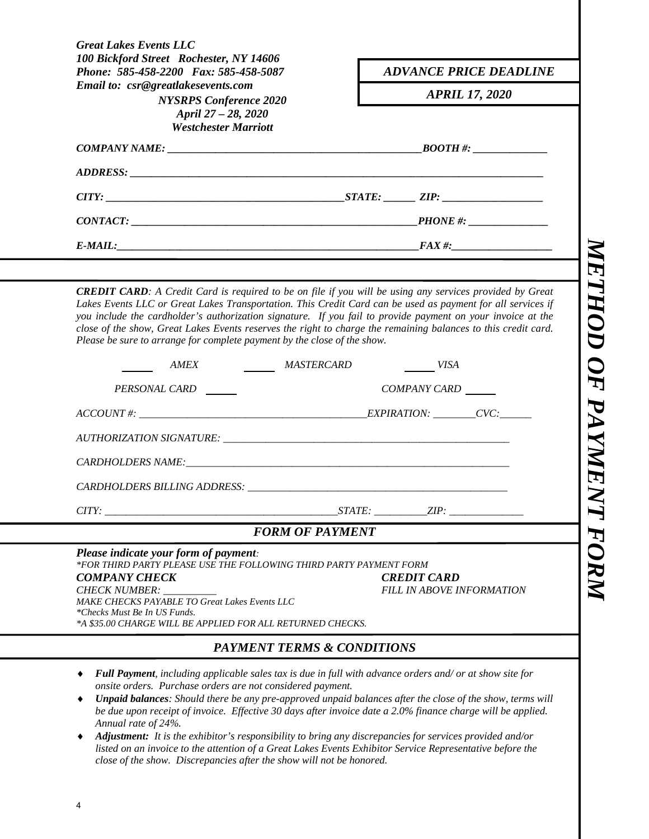| 100 Bickford Street Rochester, NY 14606<br>Phone: 585-458-2200 Fax: 585-458-5087                                                                                                                                                                                                                                                                                                                                         | <b>ADVANCE PRICE DEADLINE</b>                          |
|--------------------------------------------------------------------------------------------------------------------------------------------------------------------------------------------------------------------------------------------------------------------------------------------------------------------------------------------------------------------------------------------------------------------------|--------------------------------------------------------|
| Email to: csr@greatlakesevents.com                                                                                                                                                                                                                                                                                                                                                                                       | <b>APRIL 17, 2020</b>                                  |
| <b>NYSRPS</b> Conference 2020<br>April 27 - 28, 2020<br><b>Westchester Marriott</b>                                                                                                                                                                                                                                                                                                                                      |                                                        |
|                                                                                                                                                                                                                                                                                                                                                                                                                          |                                                        |
|                                                                                                                                                                                                                                                                                                                                                                                                                          |                                                        |
|                                                                                                                                                                                                                                                                                                                                                                                                                          |                                                        |
| $CONTACT:$ $\hspace{1.5cm}$ $\hspace{1.5cm}$ $\hspace{1.5cm}$ $\hspace{1.5cm}$ $\hspace{1.5cm}$ $\hspace{1.5cm}$ $\hspace{1.5cm}$ $\hspace{1.5cm}$ $\hspace{1.5cm}$ $\hspace{1.5cm}$ $\hspace{1.5cm}$ $\hspace{1.5cm}$ $\hspace{1.5cm}$ $\hspace{1.5cm}$ $\hspace{1.5cm}$ $\hspace{1.5cm}$ $\hspace{1.5cm}$ $\hspace{1.5cm}$                                                                                             |                                                        |
| $E\text{-}MAIL:$                                                                                                                                                                                                                                                                                                                                                                                                         |                                                        |
|                                                                                                                                                                                                                                                                                                                                                                                                                          |                                                        |
| Lakes Events LLC or Great Lakes Transportation. This Credit Card can be used as payment for all services if<br>you include the cardholder's authorization signature. If you fail to provide payment on your invoice at the<br>close of the show, Great Lakes Events reserves the right to charge the remaining balances to this credit card.<br>Please be sure to arrange for complete payment by the close of the show. |                                                        |
|                                                                                                                                                                                                                                                                                                                                                                                                                          |                                                        |
| AMEX MASTERCARD                                                                                                                                                                                                                                                                                                                                                                                                          | VISA                                                   |
| PERSONAL CARD                                                                                                                                                                                                                                                                                                                                                                                                            | COMPANY CARD                                           |
|                                                                                                                                                                                                                                                                                                                                                                                                                          |                                                        |
|                                                                                                                                                                                                                                                                                                                                                                                                                          |                                                        |
|                                                                                                                                                                                                                                                                                                                                                                                                                          |                                                        |
|                                                                                                                                                                                                                                                                                                                                                                                                                          |                                                        |
|                                                                                                                                                                                                                                                                                                                                                                                                                          | STATE:<br>ZIP:                                         |
| <b>FORM OF PAYMENT</b>                                                                                                                                                                                                                                                                                                                                                                                                   |                                                        |
| $\textit{ACCOUNT}\#:\underline{\hspace{2cm}}$<br>CITY:<br>Please indicate your form of payment:<br>*FOR THIRD PARTY PLEASE USE THE FOLLOWING THIRD PARTY PAYMENT FORM<br><b>COMPANY CHECK</b><br><b>CHECK NUMBER:</b><br>MAKE CHECKS PAYABLE TO Great Lakes Events LLC<br>*Checks Must Be In US Funds.<br>*A \$35.00 CHARGE WILL BE APPLIED FOR ALL RETURNED CHECKS.                                                     | <b>CREDIT CARD</b><br><b>FILL IN ABOVE INFORMATION</b> |
| <b>PAYMENT TERMS &amp; CONDITIONS</b>                                                                                                                                                                                                                                                                                                                                                                                    |                                                        |

*Annual rate of 24%. Adjustment: It is the exhibitor's responsibility to bring any discrepancies for services provided and/or listed on an invoice to the attention of a Great Lakes Events Exhibitor Service Representative before the close of the show. Discrepancies after the show will not be honored.*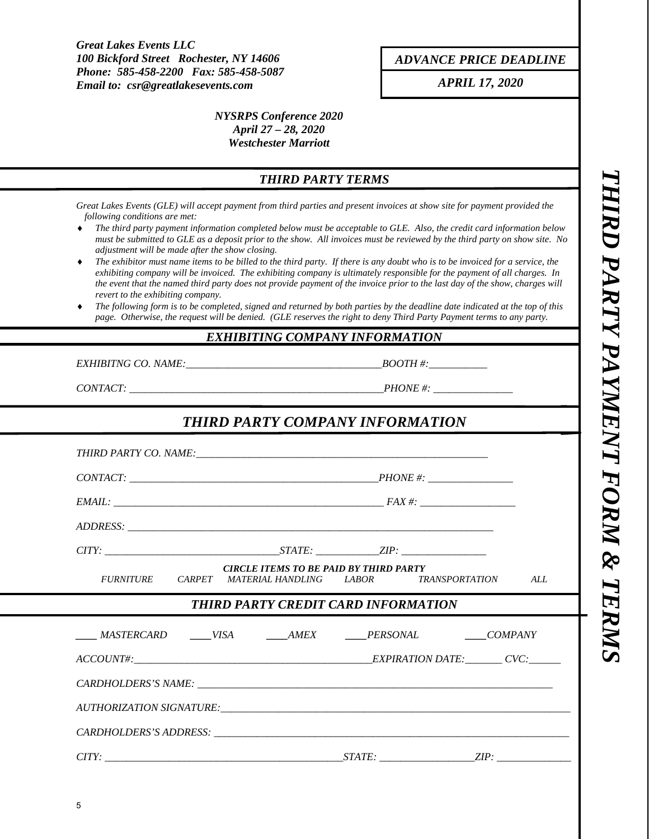*ADVANCE PRICE DEADLINE*

*APRIL 17, 2020* 

## *NYSRPS Conference 2020 April 27 – 28, 2020 Westchester Marriott*

# *THIRD PARTY TERMS*

*Great Lakes Events (GLE) will accept payment from third parties and present invoices at show site for payment provided the following conditions are met:* 

- *The third party payment information completed below must be acceptable to GLE. Also, the credit card information below must be submitted to GLE as a deposit prior to the show. All invoices must be reviewed by the third party on show site. No adjustment will be made after the show closing.*
- *The exhibitor must name items to be billed to the third party. If there is any doubt who is to be invoiced for a service, the exhibiting company will be invoiced. The exhibiting company is ultimately responsible for the payment of all charges. In the event that the named third party does not provide payment of the invoice prior to the last day of the show, charges will revert to the exhibiting company.*
- *The following form is to be completed, signed and returned by both parties by the deadline date indicated at the top of this page. Otherwise, the request will be denied. (GLE reserves the right to deny Third Party Payment terms to any party.*

### *EXHIBITING COMPANY INFORMATION*

*EXHIBITNG CO. NAME:*  $\blacksquare$ 

*CONTACT: \_\_\_\_\_\_\_\_\_\_\_\_\_\_\_\_\_\_\_\_\_\_\_\_\_\_\_\_\_\_\_\_\_\_\_\_\_\_\_\_\_\_\_\_\_\_\_\_PHONE #: \_\_\_\_\_\_\_\_\_\_\_\_\_\_\_* 

# *THIRD PARTY COMPANY INFORMATION*

|                                                                       | <b>CIRCLE ITEMS TO BE PAID BY THIRD PARTY</b><br>FURNITURE CARPET MATERIAL HANDLING LABOR TRANSPORTATION |  | ALL |  |  |
|-----------------------------------------------------------------------|----------------------------------------------------------------------------------------------------------|--|-----|--|--|
|                                                                       | THIRD PARTY CREDIT CARD INFORMATION                                                                      |  |     |  |  |
|                                                                       |                                                                                                          |  |     |  |  |
| _____MASTERCARD ______VISA _______AMEX _______PERSONAL _______COMPANY |                                                                                                          |  |     |  |  |
| $ACCOUNT\#$ : $CVC$                                                   |                                                                                                          |  |     |  |  |
|                                                                       |                                                                                                          |  |     |  |  |
|                                                                       |                                                                                                          |  |     |  |  |
|                                                                       |                                                                                                          |  |     |  |  |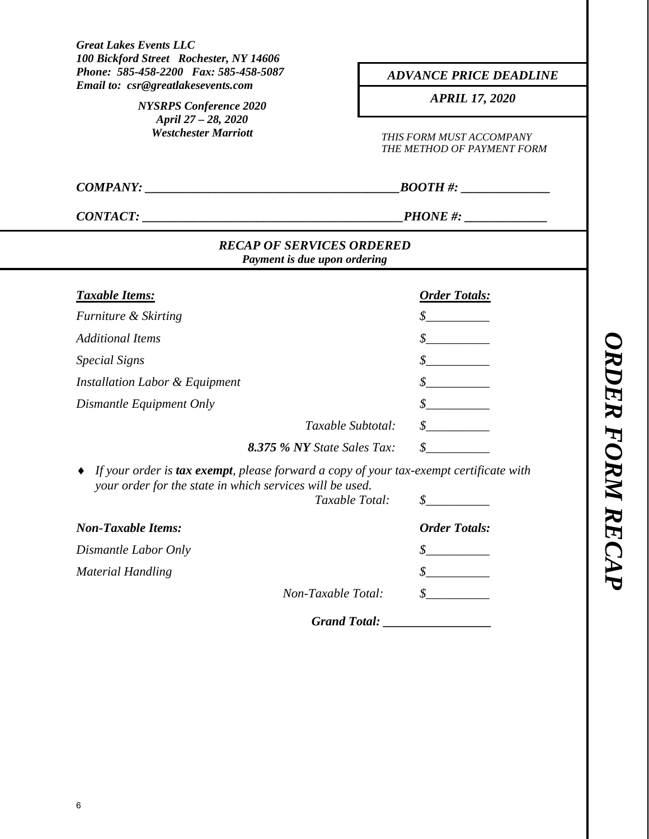| <b>Great Lakes Events LLC</b><br>100 Bickford Street Rochester, NY 14606                                                                           |                                                                          |  |  |  |
|----------------------------------------------------------------------------------------------------------------------------------------------------|--------------------------------------------------------------------------|--|--|--|
| Phone: 585-458-2200 Fax: 585-458-5087                                                                                                              | <b>ADVANCE PRICE DEADLINE</b>                                            |  |  |  |
| Email to: csr@greatlakesevents.com<br><b>NYSRPS</b> Conference 2020                                                                                | <b>APRIL 17, 2020</b>                                                    |  |  |  |
| April 27 - 28, 2020<br><b>Westchester Marriott</b>                                                                                                 | THIS FORM MUST ACCOMPANY<br>THE METHOD OF PAYMENT FORM<br>$\it{BOOTH\#:$ |  |  |  |
| COMPANY:                                                                                                                                           |                                                                          |  |  |  |
| CONTACT:                                                                                                                                           |                                                                          |  |  |  |
| <b>RECAP OF SERVICES ORDERED</b><br>Payment is due upon ordering                                                                                   |                                                                          |  |  |  |
| <b>Taxable Items:</b>                                                                                                                              | <b>Order Totals:</b>                                                     |  |  |  |
| Furniture & Skirting                                                                                                                               | $\frac{\mathcal{S}}{\mathcal{S}}$                                        |  |  |  |
| <b>Additional Items</b>                                                                                                                            | $\mathcal{S}$                                                            |  |  |  |
| <b>Special Signs</b>                                                                                                                               | $\frac{\mathcal{S}}{\mathcal{S}}$                                        |  |  |  |
| Installation Labor & Equipment                                                                                                                     |                                                                          |  |  |  |
| Dismantle Equipment Only                                                                                                                           |                                                                          |  |  |  |
|                                                                                                                                                    | $\frac{\mathcal{S}}{\mathcal{S}}$<br>Taxable Subtotal:                   |  |  |  |
| 8.375 % NY State Sales Tax:                                                                                                                        | $\mathcal{S}$                                                            |  |  |  |
| If your order is tax exempt, please forward a copy of your tax-exempt certificate with<br>your order for the state in which services will be used. | <i>Taxable Total:</i><br>$\frac{\mathcal{S}}{\mathcal{S}}$               |  |  |  |
| <b>Non-Taxable Items:</b>                                                                                                                          | <b>Order Totals:</b>                                                     |  |  |  |
| Dismantle Labor Only                                                                                                                               | \$                                                                       |  |  |  |
| <b>Material Handling</b>                                                                                                                           | \$                                                                       |  |  |  |
| Non-Taxable Total:                                                                                                                                 |                                                                          |  |  |  |
|                                                                                                                                                    | <b>Grand Total:</b>                                                      |  |  |  |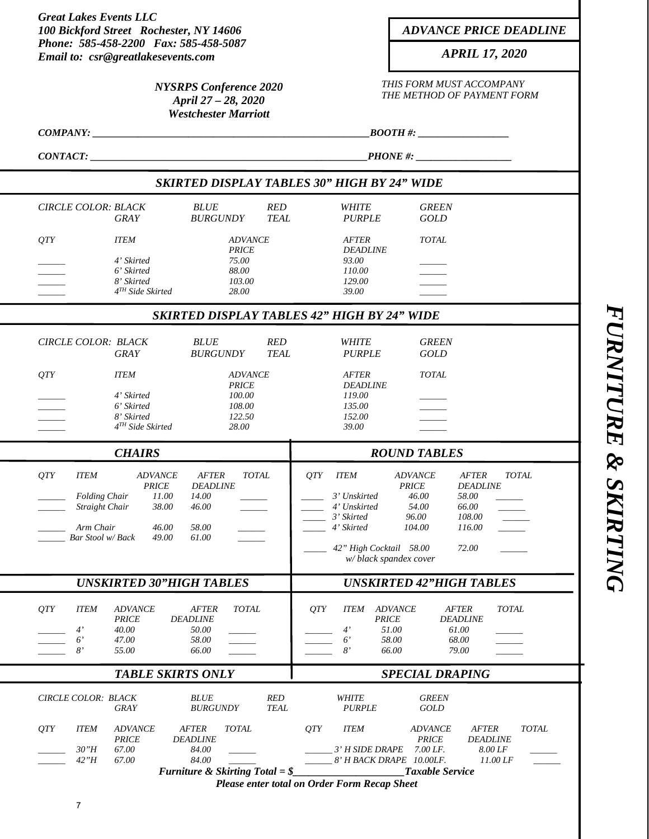| <b>Great Lakes Events LLC</b><br>100 Bickford Street Rochester, NY 14606                                                                                                                                                                             | <b>ADVANCE PRICE DEADLINE</b>                                                                                                                                                                                                                                                                        |  |  |  |
|------------------------------------------------------------------------------------------------------------------------------------------------------------------------------------------------------------------------------------------------------|------------------------------------------------------------------------------------------------------------------------------------------------------------------------------------------------------------------------------------------------------------------------------------------------------|--|--|--|
| Phone: 585-458-2200 Fax: 585-458-5087                                                                                                                                                                                                                |                                                                                                                                                                                                                                                                                                      |  |  |  |
| Email to: csr@greatlakesevents.com                                                                                                                                                                                                                   | <b>APRIL 17, 2020</b>                                                                                                                                                                                                                                                                                |  |  |  |
| <b>NYSRPS</b> Conference 2020<br>April 27 - 28, 2020<br><b>Westchester Marriott</b>                                                                                                                                                                  | THIS FORM MUST ACCOMPANY<br>THE METHOD OF PAYMENT FORM                                                                                                                                                                                                                                               |  |  |  |
| COMPANY: _                                                                                                                                                                                                                                           | $\textit{BOOTH #:}$                                                                                                                                                                                                                                                                                  |  |  |  |
| <b>CONTACT:</b>                                                                                                                                                                                                                                      | $PHONE$ #: $\_\_\_\_\_\_\_\_\_\_\_\_\_\_\_\_\_\_\_\_\_\_\_$                                                                                                                                                                                                                                          |  |  |  |
|                                                                                                                                                                                                                                                      | <b>SKIRTED DISPLAY TABLES 30" HIGH BY 24" WIDE</b>                                                                                                                                                                                                                                                   |  |  |  |
| <b>CIRCLE COLOR: BLACK</b><br><b>BLUE</b><br><b>RED</b><br><b>BURGUNDY</b><br><b>TEAL</b><br>GRAY                                                                                                                                                    | <b>WHITE</b><br><b>GREEN</b><br><b>PURPLE</b><br><b>GOLD</b>                                                                                                                                                                                                                                         |  |  |  |
| QTY<br><b>ITEM</b><br><b>ADVANCE</b><br><b>PRICE</b>                                                                                                                                                                                                 | <b>AFTER</b><br><b>TOTAL</b><br><b>DEADLINE</b>                                                                                                                                                                                                                                                      |  |  |  |
| 4' Skirted<br>75.00<br>6' Skirted<br>88.00                                                                                                                                                                                                           | 93.00<br>110.00                                                                                                                                                                                                                                                                                      |  |  |  |
| 8' Skirted<br>103.00<br>4 <sup>TH</sup> Side Skirted<br>28.00                                                                                                                                                                                        | 129.00<br>39.00                                                                                                                                                                                                                                                                                      |  |  |  |
|                                                                                                                                                                                                                                                      | <b>SKIRTED DISPLAY TABLES 42" HIGH BY 24" WIDE</b>                                                                                                                                                                                                                                                   |  |  |  |
| <b>BLUE</b><br><b>RED</b><br>CIRCLE COLOR: BLACK                                                                                                                                                                                                     | <b>WHITE</b><br><b>GREEN</b>                                                                                                                                                                                                                                                                         |  |  |  |
| <b>BURGUNDY</b><br><b>TEAL</b><br>GRAY                                                                                                                                                                                                               | <b>PURPLE</b><br>GOLD                                                                                                                                                                                                                                                                                |  |  |  |
| <b>OTY</b><br><b>ITEM</b><br><b>ADVANCE</b>                                                                                                                                                                                                          | <b>AFTER</b><br><b>TOTAL</b>                                                                                                                                                                                                                                                                         |  |  |  |
| <b>PRICE</b><br>4' Skirted<br>100.00                                                                                                                                                                                                                 | <b>DEADLINE</b><br>119.00                                                                                                                                                                                                                                                                            |  |  |  |
| 6' Skirted<br>108.00<br>8' Skirted<br>122.50                                                                                                                                                                                                         | 135.00<br>152.00                                                                                                                                                                                                                                                                                     |  |  |  |
| 4TH Side Skirted<br>28.00                                                                                                                                                                                                                            | 39.00                                                                                                                                                                                                                                                                                                |  |  |  |
| <b>CHAIRS</b>                                                                                                                                                                                                                                        | <b>ROUND TABLES</b>                                                                                                                                                                                                                                                                                  |  |  |  |
| QTY<br><b>ITEM</b><br><b>TOTAL</b><br><i>ADVANCE</i><br><b>AFTER</b><br>PRICE<br><b>DEADLINE</b><br><b>Folding Chair</b><br>11.00<br>14.00<br>Straight Chair<br>38.00<br>46.00<br>Arm Chair<br>46.00<br>58.00<br>Bar Stool w/ Back<br>49.00<br>61.00 | QTY<br><b>ADVANCE</b><br><b>AFTER</b><br><b>TOTAL</b><br>ITEM<br><b>PRICE</b><br><b>DEADLINE</b><br>3' Unskirted<br>46.00<br>58.00<br>66.00<br>4' Unskirted<br>54.00<br>3' Skirted<br>96.00<br>108.00<br>4' Skirted<br>104.00<br>116.00<br>42" High Cocktail 58.00<br>72.00<br>w/black spandex cover |  |  |  |
| <b>UNSKIRTED 30"HIGH TABLES</b>                                                                                                                                                                                                                      | <b>UNSKIRTED 42"HIGH TABLES</b>                                                                                                                                                                                                                                                                      |  |  |  |
| QTY<br><b>TOTAL</b><br><b>ITEM</b><br><b>ADVANCE</b><br><b>AFTER</b><br><b>PRICE</b><br><b>DEADLINE</b><br>4'<br>40.00<br>50.00<br>$6^{\prime}$<br>47.00<br>58.00<br>8'<br>55.00<br>66.00                                                            | AFTER<br>OTY<br><b>ITEM</b><br><b>ADVANCE</b><br><b>TOTAL</b><br><b>DEADLINE</b><br><b>PRICE</b><br>4'<br>51.00<br>61.00<br>$6^{\prime}$<br>58.00<br>68.00<br>8'<br>66.00<br>79.00                                                                                                                   |  |  |  |
| <b>TABLE SKIRTS ONLY</b>                                                                                                                                                                                                                             | <b>SPECIAL DRAPING</b>                                                                                                                                                                                                                                                                               |  |  |  |
|                                                                                                                                                                                                                                                      |                                                                                                                                                                                                                                                                                                      |  |  |  |
| <b>BLUE</b><br><b>RED</b><br>CIRCLE COLOR: BLACK<br><b>BURGUNDY</b><br><b>TEAL</b><br><b>GRAY</b>                                                                                                                                                    | <b>WHITE</b><br><b>GREEN</b><br><b>PURPLE</b><br>GOLD                                                                                                                                                                                                                                                |  |  |  |
| QTY<br><b>ITEM</b><br><b>ADVANCE</b><br><b>AFTER</b><br><b>TOTAL</b>                                                                                                                                                                                 | <b>TOTAL</b><br>QTY<br><b>ITEM</b><br><b>ADVANCE</b><br><b>AFTER</b>                                                                                                                                                                                                                                 |  |  |  |
| <b>PRICE</b><br><b>DEADLINE</b><br>67.00<br>84.00<br>30"H                                                                                                                                                                                            | <b>PRICE</b><br><b>DEADLINE</b><br>7.00 LF.<br>8.00 LF<br>3' H SIDE DRAPE                                                                                                                                                                                                                            |  |  |  |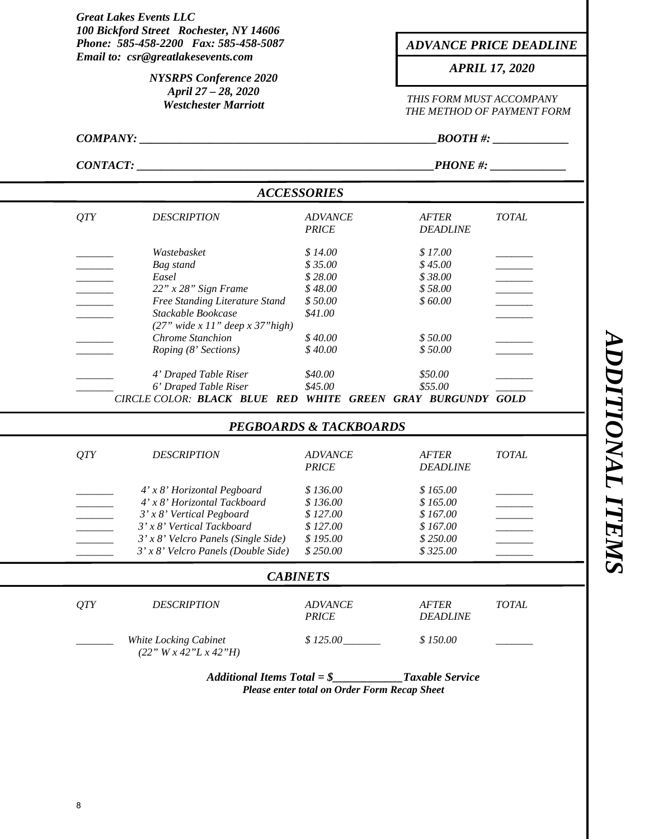|                 | 100 Bickford Street Rochester, NY 14606<br>Phone: 585-458-2200 Fax: 585-458-5087<br>Email to: csr@greatlakesevents.com<br><b>NYSRPS</b> Conference 2020<br>April 27 - 28, 2020<br><b>Westchester Marriott</b> |                                   |                                 | <b>ADVANCE PRICE DEADLINE</b>                                                   |  |  |  |
|-----------------|---------------------------------------------------------------------------------------------------------------------------------------------------------------------------------------------------------------|-----------------------------------|---------------------------------|---------------------------------------------------------------------------------|--|--|--|
|                 |                                                                                                                                                                                                               |                                   |                                 | <b>APRIL 17, 2020</b><br>THIS FORM MUST ACCOMPANY<br>THE METHOD OF PAYMENT FORM |  |  |  |
|                 |                                                                                                                                                                                                               |                                   |                                 |                                                                                 |  |  |  |
| <b>COMPANY:</b> |                                                                                                                                                                                                               |                                   | $\overline{BOOTH}$ #:           |                                                                                 |  |  |  |
|                 | CONTACT:                                                                                                                                                                                                      |                                   |                                 | $PHONE$ #: $\_\_\_\_\_\_\_\_\_\_\_\_\_\_\_\_\_\_\_\_\_\_$                       |  |  |  |
|                 |                                                                                                                                                                                                               | <b>ACCESSORIES</b>                |                                 |                                                                                 |  |  |  |
| QTY             | <b>DESCRIPTION</b>                                                                                                                                                                                            | <b>ADVANCE</b><br><b>PRICE</b>    | <b>AFTER</b><br><b>DEADLINE</b> | <b>TOTAL</b>                                                                    |  |  |  |
|                 | Wastebasket                                                                                                                                                                                                   | \$14.00                           | \$17.00                         |                                                                                 |  |  |  |
|                 | Bag stand                                                                                                                                                                                                     | \$35.00                           | \$45.00                         |                                                                                 |  |  |  |
|                 | Easel                                                                                                                                                                                                         | \$28.00                           | \$38.00                         |                                                                                 |  |  |  |
|                 | $22" x 28"$ Sign Frame                                                                                                                                                                                        | \$48.00                           | \$58.00                         |                                                                                 |  |  |  |
|                 | Free Standing Literature Stand<br>Stackable Bookcase<br>$(27"$ wide x 11" deep x 37" high)                                                                                                                    | \$50.00<br>\$41.00                | \$60.00                         |                                                                                 |  |  |  |
|                 | <b>Chrome Stanchion</b>                                                                                                                                                                                       | \$40.00                           | \$50.00                         |                                                                                 |  |  |  |
|                 | Roping (8' Sections)                                                                                                                                                                                          | \$40.00                           | \$50.00                         |                                                                                 |  |  |  |
|                 | 4' Draped Table Riser                                                                                                                                                                                         | \$40.00                           | \$50.00                         |                                                                                 |  |  |  |
|                 | 6' Draped Table Riser<br>CIRCLE COLOR: BLACK BLUE RED WHITE GREEN GRAY BURGUNDY GOLD                                                                                                                          | \$45.00                           | \$55.00                         |                                                                                 |  |  |  |
|                 |                                                                                                                                                                                                               | <b>PEGBOARDS &amp; TACKBOARDS</b> |                                 |                                                                                 |  |  |  |
| QTY             | <b>DESCRIPTION</b>                                                                                                                                                                                            | <b>ADVANCE</b><br><b>PRICE</b>    | <b>AFTER</b><br><b>DEADLINE</b> | <b>TOTAL</b>                                                                    |  |  |  |
|                 | 4' x 8' Horizontal Pegboard                                                                                                                                                                                   | \$136.00                          | \$165.00                        |                                                                                 |  |  |  |
|                 | 4' x 8' Horizontal Tackboard                                                                                                                                                                                  | \$136.00                          | \$165.00                        |                                                                                 |  |  |  |
|                 | 3' x 8' Vertical Pegboard                                                                                                                                                                                     | \$127.00                          | \$167.00                        |                                                                                 |  |  |  |
|                 | 3' x 8' Vertical Tackboard                                                                                                                                                                                    | \$127.00                          | \$167.00                        |                                                                                 |  |  |  |
|                 | $3'$ x $8'$ Velcro Panels (Single Side)                                                                                                                                                                       | \$195.00                          | \$250.00                        |                                                                                 |  |  |  |
|                 | $3'$ x $8'$ Velcro Panels (Double Side)                                                                                                                                                                       | \$250.00                          | \$325.00                        |                                                                                 |  |  |  |
|                 |                                                                                                                                                                                                               | <b>CABINETS</b>                   |                                 |                                                                                 |  |  |  |
| QTY             | <b>DESCRIPTION</b>                                                                                                                                                                                            | <b>ADVANCE</b><br><b>PRICE</b>    | <b>AFTER</b><br><b>DEADLINE</b> | <b>TOTAL</b>                                                                    |  |  |  |
|                 | White Locking Cabinet<br>(22" W x 42" L x 42" H)                                                                                                                                                              | \$125.00                          | \$150.00                        |                                                                                 |  |  |  |
|                 | Additional Items Total = $\oint$                                                                                                                                                                              |                                   | <b>Taxable Service</b>          |                                                                                 |  |  |  |

*Please enter total on Order Form Recap Sheet* 

**ADDITIONAL ITEMS** *ADDITIONAL ITEMS*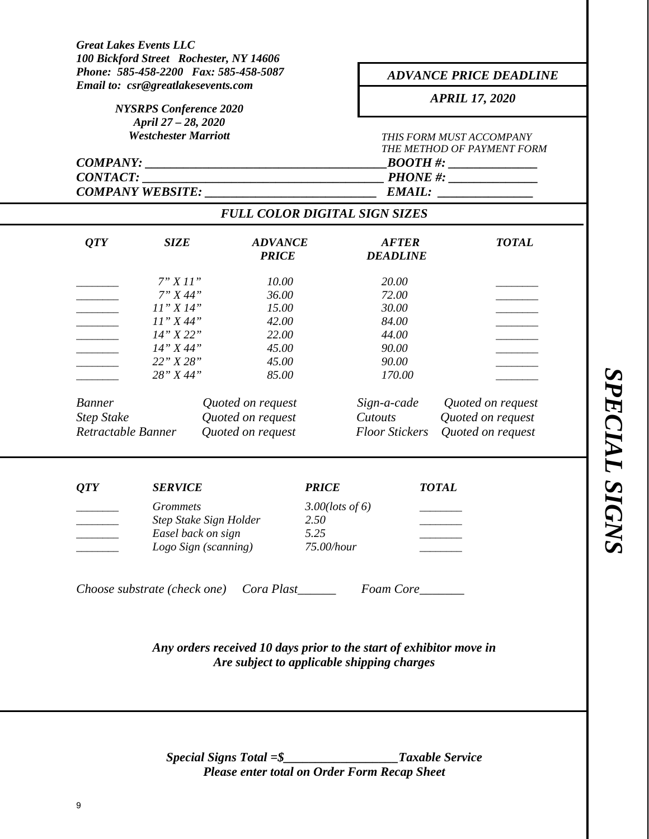| Phone: 585-458-2200 Fax: 585-458-5087<br>Email to: csr@greatlakesevents.com<br><b>NYSRPS</b> Conference 2020<br>April 27 - 28, 2020 |                    |                                                                     | <b>ADVANCE PRICE DEADLINE</b><br><b>APRIL 17, 2020</b> |                                                       |                      |  |
|-------------------------------------------------------------------------------------------------------------------------------------|--------------------|---------------------------------------------------------------------|--------------------------------------------------------|-------------------------------------------------------|----------------------|--|
|                                                                                                                                     |                    |                                                                     |                                                        |                                                       |                      |  |
|                                                                                                                                     |                    | COMPANY:                                                            |                                                        |                                                       | $\textit{BOOTH #:}\$ |  |
| <b>CONTACT:</b>                                                                                                                     |                    | <u> 1989 - Johann Barbara, martin da kasar Amerikaan kasar da</u>   |                                                        |                                                       | $PHONE$ #:           |  |
|                                                                                                                                     |                    | COMPANY WEBSITE:                                                    |                                                        | <b>EMAIL:</b><br><b>FULL COLOR DIGITAL SIGN SIZES</b> |                      |  |
|                                                                                                                                     |                    |                                                                     |                                                        |                                                       |                      |  |
| QTY                                                                                                                                 | <b>SIZE</b>        | <b>ADVANCE</b><br><b>PRICE</b>                                      |                                                        | <b>AFTER</b><br><b>DEADLINE</b>                       | <b>TOTAL</b>         |  |
|                                                                                                                                     | 7"X11"             | 10.00                                                               |                                                        | 20.00                                                 |                      |  |
|                                                                                                                                     | 7" X 44"           | 36.00                                                               |                                                        | 72.00                                                 |                      |  |
|                                                                                                                                     | 11" X 14"          | 15.00                                                               |                                                        | 30.00                                                 |                      |  |
|                                                                                                                                     | 11" X 44"          | 42.00                                                               |                                                        | 84.00                                                 |                      |  |
|                                                                                                                                     | 14" X 22"          | 22.00                                                               |                                                        | 44.00                                                 |                      |  |
|                                                                                                                                     | 14" X 44"          | 45.00                                                               |                                                        | 90.00                                                 |                      |  |
|                                                                                                                                     | 22" X 28"          | 45.00                                                               |                                                        | 90.00                                                 |                      |  |
|                                                                                                                                     | 28" X 44"          | 85.00                                                               |                                                        | 170.00                                                |                      |  |
| <b>Banner</b>                                                                                                                       |                    | Quoted on request                                                   |                                                        | Sign-a-cade                                           | Quoted on request    |  |
| <b>Step Stake</b>                                                                                                                   |                    | Quoted on request                                                   |                                                        | Cutouts                                               | Quoted on request    |  |
| Retractable Banner                                                                                                                  |                    | Quoted on request                                                   |                                                        | <b>Floor Stickers</b>                                 | Quoted on request    |  |
|                                                                                                                                     | <b>SERVICE</b>     |                                                                     | <b>PRICE</b>                                           |                                                       | <b>TOTAL</b>         |  |
| QTY                                                                                                                                 |                    |                                                                     |                                                        |                                                       |                      |  |
|                                                                                                                                     | <i>Grommets</i>    |                                                                     | $3.00$ (lots of 6)                                     |                                                       |                      |  |
|                                                                                                                                     | Easel back on sign | Step Stake Sign Holder                                              | 2.50<br>5.25                                           |                                                       |                      |  |
|                                                                                                                                     |                    | Logo Sign (scanning)                                                | 75.00/hour                                             |                                                       |                      |  |
|                                                                                                                                     |                    |                                                                     |                                                        |                                                       |                      |  |
|                                                                                                                                     |                    | Choose substrate (check one) Cora Plast_________ Foam Core_______   |                                                        |                                                       |                      |  |
|                                                                                                                                     |                    | Any orders received 10 days prior to the start of exhibitor move in |                                                        |                                                       |                      |  |
|                                                                                                                                     |                    | Are subject to applicable shipping charges                          |                                                        |                                                       |                      |  |
|                                                                                                                                     |                    |                                                                     |                                                        |                                                       |                      |  |

*Special Signs Total =\$\_\_\_\_\_\_\_\_\_\_\_\_\_\_\_\_\_\_Taxable Service Please enter total on Order Form Recap Sheet*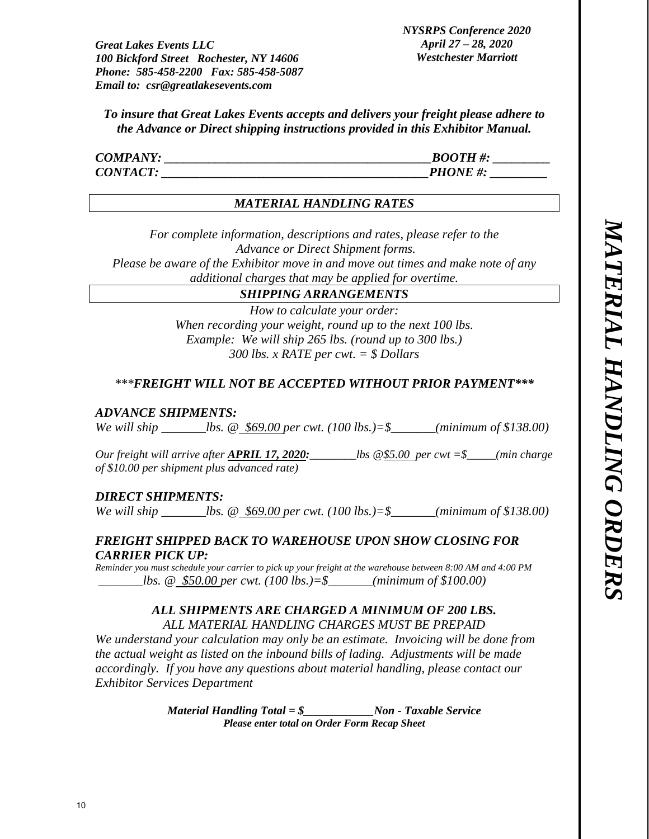*To insure that Great Lakes Events accepts and delivers your freight please adhere to the Advance or Direct shipping instructions provided in this Exhibitor Manual.* 

| <b>COMPANY:</b> | <b>BOOTH#:</b> |
|-----------------|----------------|
| <b>CONTACT:</b> | <b>PHONE#:</b> |

# *MATERIAL HANDLING RATES*

*For complete information, descriptions and rates, please refer to the Advance or Direct Shipment forms. Please be aware of the Exhibitor move in and move out times and make note of any* 

*additional charges that may be applied for overtime.* 

# *SHIPPING ARRANGEMENTS*

*How to calculate your order: When recording your weight, round up to the next 100 lbs. Example: We will ship 265 lbs. (round up to 300 lbs.) 300 lbs. x RATE per cwt. = \$ Dollars* 

# *\*\*\*FREIGHT WILL NOT BE ACCEPTED WITHOUT PRIOR PAYMENT\*\*\**

# *ADVANCE SHIPMENTS:*

*We will ship \_\_\_\_\_\_\_lbs. @ \$69.00 per cwt. (100 lbs.)=\$\_\_\_\_\_\_\_(minimum of \$138.00)* 

*Our freight will arrive after APRIL 17, 2020:\_\_\_\_\_\_\_\_lbs @\$5.00 per cwt =\$\_\_\_\_\_(min charge of \$10.00 per shipment plus advanced rate)* 

# *DIRECT SHIPMENTS:*

*We will ship \_\_\_\_\_\_\_lbs. @ \$69.00 per cwt. (100 lbs.)=\$\_\_\_\_\_\_\_(minimum of \$138.00)* 

# *FREIGHT SHIPPED BACK TO WAREHOUSE UPON SHOW CLOSING FOR CARRIER PICK UP:*

*Reminder you must schedule your carrier to pick up your freight at the warehouse between 8:00 AM and 4:00 PM lbs. @ \$50.00 per cwt. (100 lbs.)*=\$ *(minimum of \$100.00)* 

# *ALL SHIPMENTS ARE CHARGED A MINIMUM OF 200 LBS. ALL MATERIAL HANDLING CHARGES MUST BE PREPAID*

*We understand your calculation may only be an estimate. Invoicing will be done from the actual weight as listed on the inbound bills of lading. Adjustments will be made accordingly. If you have any questions about material handling, please contact our Exhibitor Services Department* 

> *Material Handling Total = \$\_\_\_\_\_\_\_\_\_\_\_\_Non - Taxable Service Please enter total on Order Form Recap Sheet*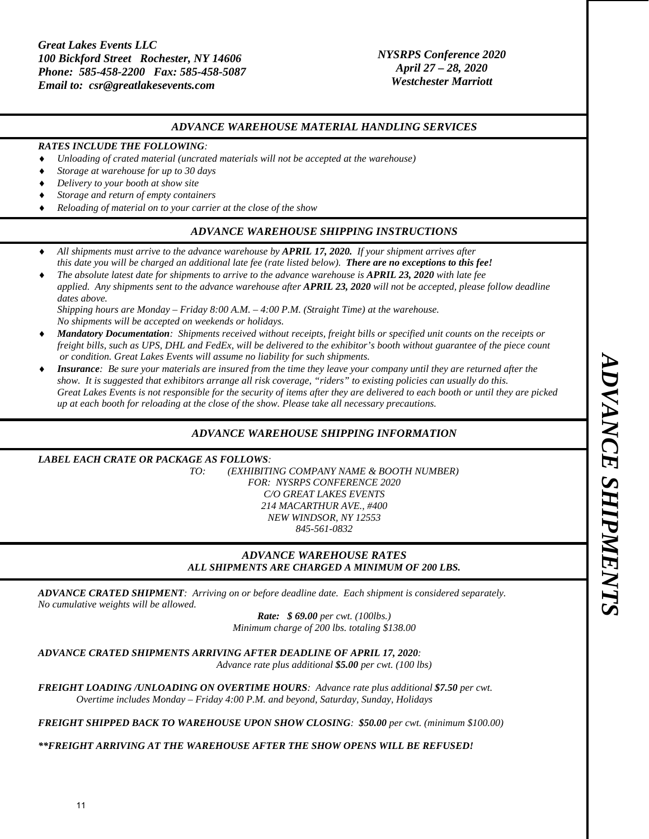## *NYSRPS Conference 2020 April 27 – 28, 2020 Westchester Marriott*

#### *ADVANCE WAREHOUSE MATERIAL HANDLING SERVICES*

#### *RATES INCLUDE THE FOLLOWING:*

- *Unloading of crated material (uncrated materials will not be accepted at the warehouse)*
- *Storage at warehouse for up to 30 days*
- *Delivery to your booth at show site*
- *Storage and return of empty containers*
- *Reloading of material on to your carrier at the close of the show*

#### *ADVANCE WAREHOUSE SHIPPING INSTRUCTIONS*

- *All shipments must arrive to the advance warehouse by APRIL 17, 2020. If your shipment arrives after this date you will be charged an additional late fee (rate listed below). There are no exceptions to this fee!*
- *The absolute latest date for shipments to arrive to the advance warehouse is APRIL 23, 2020 with late fee applied. Any shipments sent to the advance warehouse after APRIL 23, 2020 will not be accepted, please follow deadline dates above.*

*Shipping hours are Monday – Friday 8:00 A.M. – 4:00 P.M. (Straight Time) at the warehouse. No shipments will be accepted on weekends or holidays.*

- *Mandatory Documentation: Shipments received without receipts, freight bills or specified unit counts on the receipts or freight bills, such as UPS, DHL and FedEx, will be delivered to the exhibitor's booth without guarantee of the piece count or condition. Great Lakes Events will assume no liability for such shipments.*
- *Insurance: Be sure your materials are insured from the time they leave your company until they are returned after the show. It is suggested that exhibitors arrange all risk coverage, "riders" to existing policies can usually do this. Great Lakes Events is not responsible for the security of items after they are delivered to each booth or until they are picked up at each booth for reloading at the close of the show. Please take all necessary precautions.*

#### *ADVANCE WAREHOUSE SHIPPING INFORMATION*

*LABEL EACH CRATE OR PACKAGE AS FOLLOWS: TO: (EXHIBITING COMPANY NAME & BOOTH NUMBER) FOR: NYSRPS CONFERENCE 2020 C/O GREAT LAKES EVENTS 214 MACARTHUR AVE., #400 NEW WINDSOR, NY 12553 845-561-0832* 

#### *ADVANCE WAREHOUSE RATES ALL SHIPMENTS ARE CHARGED A MINIMUM OF 200 LBS.*

*ADVANCE CRATED SHIPMENT: Arriving on or before deadline date. Each shipment is considered separately. No cumulative weights will be allowed.* 

> *Rate: \$ 69.00 per cwt. (100lbs.) Minimum charge of 200 lbs. totaling \$138.00*

*ADVANCE CRATED SHIPMENTS ARRIVING AFTER DEADLINE OF APRIL 17, 2020:* 

*Advance rate plus additional \$5.00 per cwt. (100 lbs)* 

*FREIGHT LOADING /UNLOADING ON OVERTIME HOURS: Advance rate plus additional \$7.50 per cwt. Overtime includes Monday – Friday 4:00 P.M. and beyond, Saturday, Sunday, Holidays* 

*FREIGHT SHIPPED BACK TO WAREHOUSE UPON SHOW CLOSING: \$50.00 per cwt. (minimum \$100.00)* 

*\*\*FREIGHT ARRIVING AT THE WAREHOUSE AFTER THE SHOW OPENS WILL BE REFUSED!*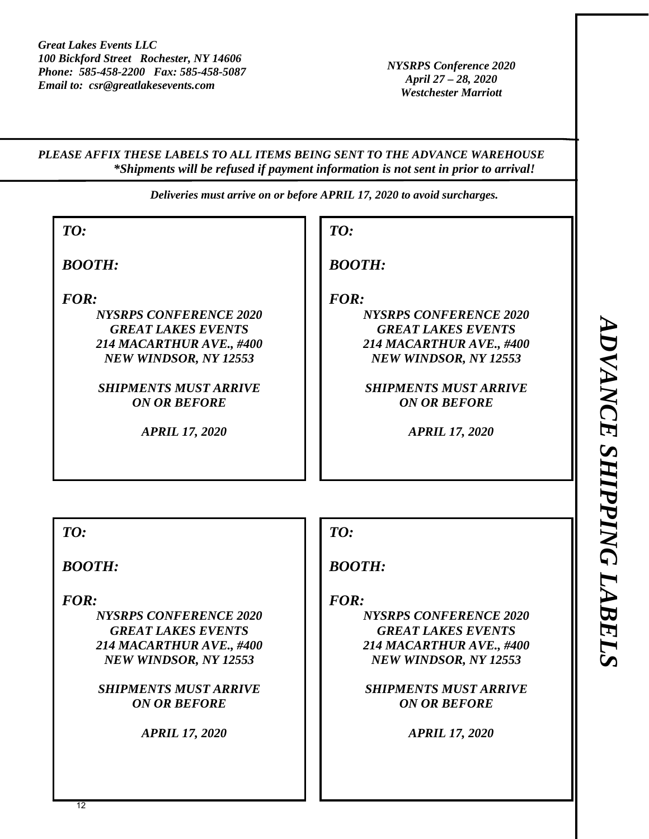*NYSRPS Conference 2020 April 27 – 28, 2020 Westchester Marriott* 

*PLEASE AFFIX THESE LABELS TO ALL ITEMS BEING SENT TO THE ADVANCE WAREHOUSE \*Shipments will be refused if payment information is not sent in prior to arrival!* 

*Deliveries must arrive on or before APRIL 17, 2020 to avoid surcharges.* 

| TO:                                                                                                                                                                                                     |
|---------------------------------------------------------------------------------------------------------------------------------------------------------------------------------------------------------|
| <b>BOOTH:</b>                                                                                                                                                                                           |
| FOR:<br><b>NYSRPS CONFERENCE 2020</b><br><b>GREAT LAKES EVENTS</b><br>214 MACARTHUR AVE., #400<br>NEW WINDSOR, NY 12553<br><b>SHIPMENTS MUST ARRIVE</b><br><b>ON OR BEFORE</b><br><b>APRIL 17, 2020</b> |
| TO:                                                                                                                                                                                                     |
| <b>BOOTH:</b>                                                                                                                                                                                           |
| FOR:<br><b>NYSRPS CONFERENCE 2020</b><br><b>GREAT LAKES EVENTS</b><br>214 MACARTHUR AVE., #400<br>NEW WINDSOR, NY 12553<br><b>SHIPMENTS MUST ARRIVE</b><br><b>ON OR BEFORE</b><br><b>APRIL 17, 2020</b> |
|                                                                                                                                                                                                         |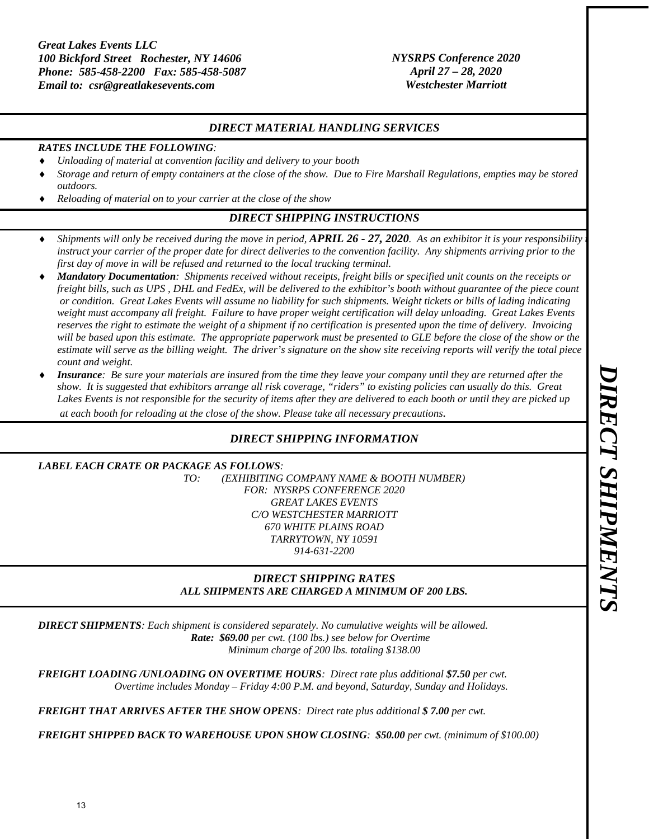#### *NYSRPS Conference 2020 April 27 – 28, 2020 Westchester Marriott*

#### *DIRECT MATERIAL HANDLING SERVICES*

#### *RATES INCLUDE THE FOLLOWING:*

- *Unloading of material at convention facility and delivery to your booth*
- *Storage and return of empty containers at the close of the show. Due to Fire Marshall Regulations, empties may be stored outdoors.*
- *Reloading of material on to your carrier at the close of the show*

# *DIRECT SHIPPING INSTRUCTIONS*

- *Shipments will only be received during the move in period, <i>APRIL 26 27, 2020*. As an exhibitor it is your responsibility *instruct your carrier of the proper date for direct deliveries to the convention facility. Any shipments arriving prior to the first day of move in will be refused and returned to the local trucking terminal.*
- *Mandatory Documentation: Shipments received without receipts, freight bills or specified unit counts on the receipts or freight bills, such as UPS , DHL and FedEx, will be delivered to the exhibitor's booth without guarantee of the piece count or condition. Great Lakes Events will assume no liability for such shipments. Weight tickets or bills of lading indicating weight must accompany all freight. Failure to have proper weight certification will delay unloading. Great Lakes Events reserves the right to estimate the weight of a shipment if no certification is presented upon the time of delivery. Invoicing*  will be based upon this estimate. The appropriate paperwork must be presented to GLE before the close of the show or the *estimate will serve as the billing weight. The driver's signature on the show site receiving reports will verify the total piece count and weight.*
- *Insurance: Be sure your materials are insured from the time they leave your company until they are returned after the show. It is suggested that exhibitors arrange all risk coverage, "riders" to existing policies can usually do this. Great Lakes Events is not responsible for the security of items after they are delivered to each booth or until they are picked up at each booth for reloading at the close of the show. Please take all necessary precautions.*

## *DIRECT SHIPPING INFORMATION*

#### *LABEL EACH CRATE OR PACKAGE AS FOLLOWS:*

*TO: (EXHIBITING COMPANY NAME & BOOTH NUMBER) FOR: NYSRPS CONFERENCE 2020 GREAT LAKES EVENTS C/O WESTCHESTER MARRIOTT 670 WHITE PLAINS ROAD TARRYTOWN, NY 10591 914-631-2200* 

### *DIRECT SHIPPING RATES ALL SHIPMENTS ARE CHARGED A MINIMUM OF 200 LBS.*

*DIRECT SHIPMENTS: Each shipment is considered separately. No cumulative weights will be allowed. Rate: \$69.00 per cwt. (100 lbs.) see below for Overtime Minimum charge of 200 lbs. totaling \$138.00* 

*FREIGHT LOADING /UNLOADING ON OVERTIME HOURS: Direct rate plus additional \$7.50 per cwt. Overtime includes Monday – Friday 4:00 P.M. and beyond, Saturday, Sunday and Holidays.* 

*FREIGHT THAT ARRIVES AFTER THE SHOW OPENS: Direct rate plus additional \$ 7.00 per cwt.* 

*FREIGHT SHIPPED BACK TO WAREHOUSE UPON SHOW CLOSING: \$50.00 per cwt. (minimum of \$100.00)*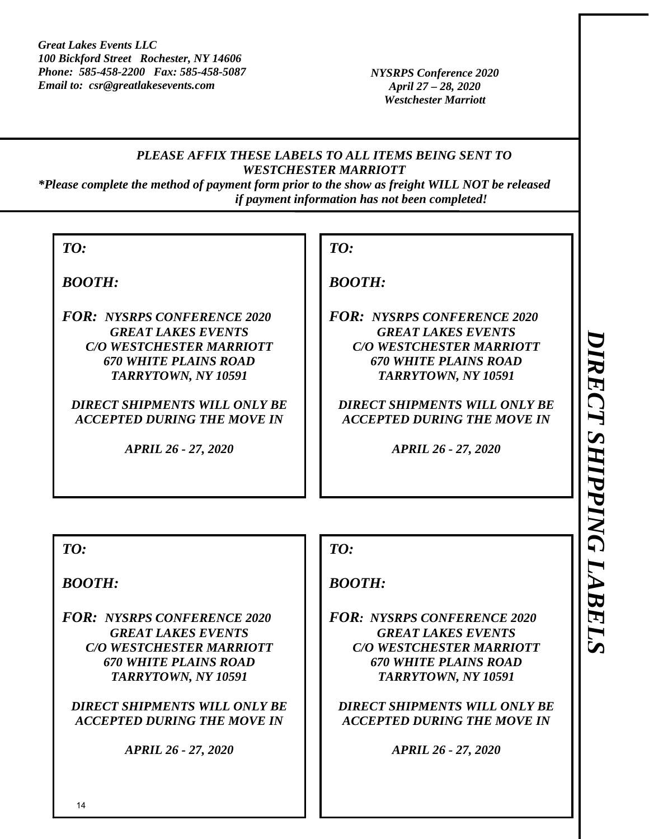*NYSRPS Conference 2020 April 27 – 28, 2020 Westchester Marriott* 

# *PLEASE AFFIX THESE LABELS TO ALL ITEMS BEING SENT TO WESTCHESTER MARRIOTT*

*\*Please complete the method of payment form prior to the show as freight WILL NOT be released if payment information has not been completed!* 

*BOOTH:* 

*FOR: NYSRPS CONFERENCE 2020 GREAT LAKES EVENTS C/O WESTCHESTER MARRIOTT 670 WHITE PLAINS ROAD TARRYTOWN, NY 10591* 

*DIRECT SHIPMENTS WILL ONLY BE ACCEPTED DURING THE MOVE IN* 

*APRIL 26 - 27, 2020* 

# *TO:*

# *BOOTH:*

*FOR: NYSRPS CONFERENCE 2020 GREAT LAKES EVENTS C/O WESTCHESTER MARRIOTT 670 WHITE PLAINS ROAD TARRYTOWN, NY 10591* 

*DIRECT SHIPMENTS WILL ONLY BE ACCEPTED DURING THE MOVE IN* 

*APRIL 26 - 27, 2020* 

*TO:* 

*BOOTH:* 

*FOR: NYSRPS CONFERENCE 2020 GREAT LAKES EVENTS C/O WESTCHESTER MARRIOTT 670 WHITE PLAINS ROAD TARRYTOWN, NY 10591* 

*DIRECT SHIPMENTS WILL ONLY BE ACCEPTED DURING THE MOVE IN* 

*APRIL 26 - 27, 2020* 

*TO:* 

# *BOOTH:*

*FOR: NYSRPS CONFERENCE 2020 GREAT LAKES EVENTS C/O WESTCHESTER MARRIOTT 670 WHITE PLAINS ROAD TARRYTOWN, NY 10591* 

*DIRECT SHIPMENTS WILL ONLY BE ACCEPTED DURING THE MOVE IN* 

*APRIL 26 - 27, 2020*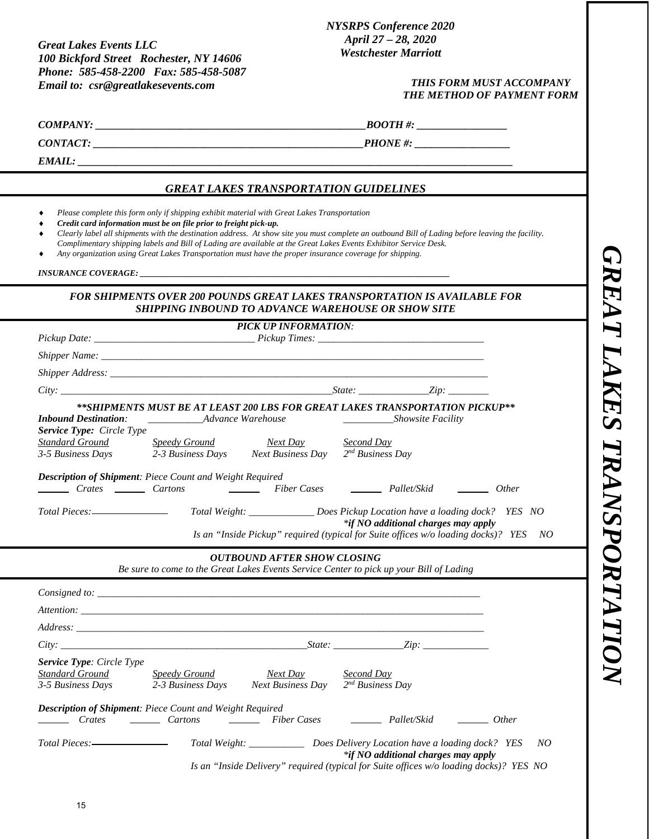#### *NYSRPS Conference 2020 April 27 – 28, 2020 Westchester Marriott*

#### *THIS FORM MUST ACCOMPANY THE METHOD OF PAYMENT FORM*

 $\it{BOOTH\,\#:}$ 

*CONTACT: \_\_\_\_\_\_\_\_\_\_\_\_\_\_\_\_\_\_\_\_\_\_\_\_\_\_\_\_\_\_\_\_\_\_\_\_\_\_\_\_\_\_\_\_\_\_\_\_\_\_\_PHONE #: \_\_\_\_\_\_\_\_\_\_\_\_\_\_\_\_\_\_* 

*EMAIL: \_\_\_\_\_\_\_\_\_\_\_\_\_\_\_\_\_\_\_\_\_\_\_\_\_\_\_\_\_\_\_\_\_\_\_\_\_\_\_\_\_\_\_\_\_\_\_\_\_\_\_\_\_\_\_\_\_\_\_\_\_\_\_\_\_\_\_\_\_\_\_\_\_\_\_\_\_\_\_\_\_\_* 

#### *GREAT LAKES TRANSPORTATION GUIDELINES*

- *Please complete this form only if shipping exhibit material with Great Lakes Transportation*
- *Credit card information must be on file prior to freight pick-up.*
- *Clearly label all shipments with the destination address. At show site you must complete an outbound Bill of Lading before leaving the facility.*
- *Complimentary shipping labels and Bill of Lading are available at the Great Lakes Events Exhibitor Service Desk.*
- *Any organization using Great Lakes Transportation must have the proper insurance coverage for shipping.*

*INSURANCE COVERAGE: \_\_\_\_\_\_\_\_\_\_\_\_\_\_\_\_\_\_\_\_\_\_\_\_\_\_\_\_\_\_\_\_\_\_\_\_\_\_\_\_\_\_\_\_\_\_\_\_\_\_\_\_\_\_\_\_\_\_\_\_\_\_\_\_\_\_\_\_\_\_\_\_\_* 

#### *FOR SHIPMENTS OVER 200 POUNDS GREAT LAKES TRANSPORTATION IS AVAILABLE FOR SHIPPING INBOUND TO ADVANCE WAREHOUSE OR SHOW SITE*

|                                                                          | <b>PICK UP INFORMATION:</b>                                                                                                                                                                                                      |                                  |                                       |              |
|--------------------------------------------------------------------------|----------------------------------------------------------------------------------------------------------------------------------------------------------------------------------------------------------------------------------|----------------------------------|---------------------------------------|--------------|
|                                                                          |                                                                                                                                                                                                                                  |                                  |                                       |              |
|                                                                          |                                                                                                                                                                                                                                  |                                  |                                       |              |
|                                                                          |                                                                                                                                                                                                                                  |                                  |                                       |              |
|                                                                          | $City:$ State: State: State: State: State: State: State: State: State: State: State: State: State: State: State: State: State: State: State: State: State: State: State: State: State: State: State: State: State: State: State: |                                  |                                       |              |
|                                                                          | **SHIPMENTS MUST BE AT LEAST 200 LBS FOR GREAT LAKES TRANSPORTATION PICKUP**                                                                                                                                                     |                                  |                                       |              |
| <b>Inbound Destination:</b><br><b>Service Type:</b> Circle Type          | ______________________Advance Warehouse                                                                                                                                                                                          |                                  | ____________________Showsite Facility |              |
| Standard Ground                                                          | <b>Speedy Ground</b><br>Next Day<br>3-5 Business Days 2-3 Business Days Next Business Day $2nd$ Business Day                                                                                                                     | Second Day                       |                                       |              |
| Crates Cartons                                                           | Description of Shipment: Piece Count and Weight Required<br>Fiber Cases <u>Immediately</u> Pallet/Skid <u>Immediately</u>                                                                                                        |                                  |                                       | <i>Other</i> |
|                                                                          | Total Weight: _________________Does Pickup Location have a loading dock? YES NO                                                                                                                                                  |                                  |                                       |              |
|                                                                          | Is an "Inside Pickup" required (typical for Suite offices w/o loading docks)? YES NO                                                                                                                                             |                                  | *if NO additional charges may apply   |              |
|                                                                          |                                                                                                                                                                                                                                  |                                  |                                       |              |
|                                                                          | <b>OUTBOUND AFTER SHOW CLOSING</b>                                                                                                                                                                                               |                                  |                                       |              |
|                                                                          | Be sure to come to the Great Lakes Events Service Center to pick up your Bill of Lading                                                                                                                                          |                                  |                                       |              |
|                                                                          |                                                                                                                                                                                                                                  |                                  |                                       |              |
|                                                                          |                                                                                                                                                                                                                                  |                                  |                                       |              |
|                                                                          |                                                                                                                                                                                                                                  |                                  |                                       |              |
|                                                                          |                                                                                                                                                                                                                                  |                                  |                                       |              |
| <b>Service Type: Circle Type</b><br>Standard Ground<br>3-5 Business Days | Speedy Ground<br>Next Day<br>2-3 Business Days<br>Next Business Day                                                                                                                                                              | Second Day<br>$2nd Business$ Day |                                       |              |
| Crates <u>Cartons</u>                                                    | Description of Shipment: Piece Count and Weight Required<br>Fiber Cases <u>Internal Pallet</u> /Skid <u>Internal Pallet</u>                                                                                                      |                                  |                                       |              |
|                                                                          |                                                                                                                                                                                                                                  |                                  |                                       |              |

 *Is an "Inside Delivery" required (typical for Suite offices w/o loading docks)? YES NO*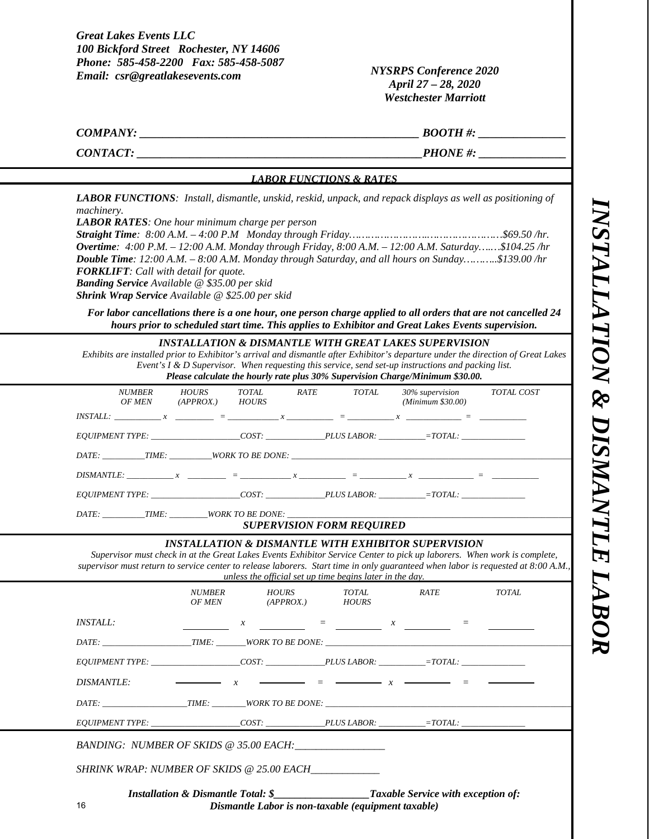*INSTALLATION & DISMANTLE LABOR*  NSTALLATION & DISMANTLE LABOR

*NYSRPS Conference 2020 April 27 – 28, 2020 Westchester Marriott* 

*COMPANY:*  $\begin{array}{cc} \hline \text{E} & \text{E} & \text{E} & \text{E} & \text{E} & \text{E} & \text{E} \end{array}$ 

*CONTACT: \_\_\_\_\_\_\_\_\_\_\_\_\_\_\_\_\_\_\_\_\_\_\_\_\_\_\_\_\_\_\_\_\_\_\_\_\_\_\_\_\_\_\_\_\_\_\_\_\_PHONE #: \_\_\_\_\_\_\_\_\_\_\_\_\_\_\_*

#### *LABOR FUNCTIONS & RATES*

*LABOR FUNCTIONS: Install, dismantle, unskid, reskid, unpack, and repack displays as well as positioning of machinery.* 

*LABOR RATES: One hour minimum charge per person* 

*Straight Time: 8:00 A.M. – 4:00 P.M Monday through Friday…………………….……………………\$69.50 /hr. Overtime: 4:00 P.M. – 12:00 A.M. Monday through Friday, 8:00 A.M. – 12:00 A.M. Saturday….…\$104.25 /hr Double Time: 12:00 A.M. – 8:00 A.M. Monday through Saturday, and all hours on Sunday………..\$139.00 /hr FORKLIFT: Call with detail for quote. Banding Service Available @ \$35.00 per skid* 

*Shrink Wrap Service Available @ \$25.00 per skid* 

*For labor cancellations there is a one hour, one person charge applied to all orders that are not cancelled 24 hours prior to scheduled start time. This applies to Exhibitor and Great Lakes Events supervision.* 

#### *INSTALLATION & DISMANTLE WITH GREAT LAKES SUPERVISION*

*Exhibits are installed prior to Exhibitor's arrival and dismantle after Exhibitor's departure under the direction of Great Lakes Event's I & D Supervisor. When requesting this service, send set-up instructions and packing list. Please calculate the hourly rate plus 30% Supervision Charge/Minimum \$30.00.*

| <i>NUMBER</i><br><i>OF MEN</i>                    | <i>HOURS</i><br>$(APPROX.)$ $HOURS$ | TOTAL | RATE | TOTAL | 30% supervision<br>(Minimum \$30.00) | TOTAL COST |
|---------------------------------------------------|-------------------------------------|-------|------|-------|--------------------------------------|------------|
|                                                   |                                     |       |      |       |                                      |            |
| EQUIPMENT TYPE: COST: PLUS LABOR: = = TOTAL:      |                                     |       |      |       |                                      |            |
|                                                   |                                     |       |      |       |                                      |            |
| $DISMANTE:$ $x = x$ = $x = x$ = $x = x$ = $x = 0$ |                                     |       |      |       |                                      |            |
| EQUIPMENT TYPE: COST: PLUS LABOR: = = TOTAL:      |                                     |       |      |       |                                      |            |
| DATE:                                             |                                     |       |      |       |                                      |            |

#### *SUPERVISION FORM REQUIRED*

#### *INSTALLATION & DISMANTLE WITH EXHIBITOR SUPERVISION*

*Supervisor must check in at the Great Lakes Events Exhibitor Service Center to pick up laborers. When work is complete, supervisor must return to service center to release laborers. Start time in only guaranteed when labor is requested at 8:00 A.M., unless the official set up time begins later in the day.* 

|                                                                                                                                                                                 |  | NUMBER HOURS<br>OF MEN (APPROX.) HOURS | <i>TOTAL</i> | RATE                                                                                                                                                                                                                                                                                                                | TOTAL |  |
|---------------------------------------------------------------------------------------------------------------------------------------------------------------------------------|--|----------------------------------------|--------------|---------------------------------------------------------------------------------------------------------------------------------------------------------------------------------------------------------------------------------------------------------------------------------------------------------------------|-------|--|
| <i><b>INSTALL:</b></i>                                                                                                                                                          |  |                                        |              | $x = 1$ and $x = 1$ and $x = 1$ and $x = 1$ and $x = 1$ and $x = 1$ and $x = 1$ and $x = 1$ and $x = 1$ and $x = 1$ and $x = 1$ and $x = 1$ and $x = 1$ and $x = 1$ and $x = 1$ and $x = 1$ and $x = 1$ and $x = 1$ and $x = 1$ and $x = 1$ and                                                                     |       |  |
|                                                                                                                                                                                 |  |                                        |              |                                                                                                                                                                                                                                                                                                                     |       |  |
| EQUIPMENT TYPE: COST: PLUS LABOR: = = TOTAL:                                                                                                                                    |  |                                        |              |                                                                                                                                                                                                                                                                                                                     |       |  |
| <i>DISMANTLE:</i>                                                                                                                                                               |  |                                        |              | $\frac{1}{1}$ $\frac{1}{1}$ $\frac{1}{1}$ $\frac{1}{1}$ $\frac{1}{1}$ $\frac{1}{1}$ $\frac{1}{1}$ $\frac{1}{1}$ $\frac{1}{1}$ $\frac{1}{1}$ $\frac{1}{1}$ $\frac{1}{1}$ $\frac{1}{1}$ $\frac{1}{1}$ $\frac{1}{1}$ $\frac{1}{1}$ $\frac{1}{1}$ $\frac{1}{1}$ $\frac{1}{1}$ $\frac{1}{1}$ $\frac{1}{1}$ $\frac{1}{1}$ |       |  |
| DATE: TIME: WORK TO BE DONE:                                                                                                                                                    |  |                                        |              |                                                                                                                                                                                                                                                                                                                     |       |  |
| $EQUIPMENT \textit{TYPE}: \_\_\_\_\_\_\_\_\_\_\_ \ \text{COST:} \_\_\_\_\_\_\_ \ \text{PLUS} \textit{LABOR:} \_\_\_\_\_\_\_\_ \text{TOTAL:} \_\_\_\_\_\_\_\_\_\_ \text{COTAL:}$ |  |                                        |              |                                                                                                                                                                                                                                                                                                                     |       |  |
| BANDING: NUMBER OF SKIDS @ 35.00 EACH:                                                                                                                                          |  |                                        |              |                                                                                                                                                                                                                                                                                                                     |       |  |
| SHRINK WRAP: NUMBER OF SKIDS @ 25.00 EACH                                                                                                                                       |  |                                        |              |                                                                                                                                                                                                                                                                                                                     |       |  |
| <b>Installation &amp; Dismantle Total: \$</b>                                                                                                                                   |  |                                        |              | <b>Taxable Service with exception of:</b>                                                                                                                                                                                                                                                                           |       |  |

*Dismantle Labor is non-taxable (equipment taxable)*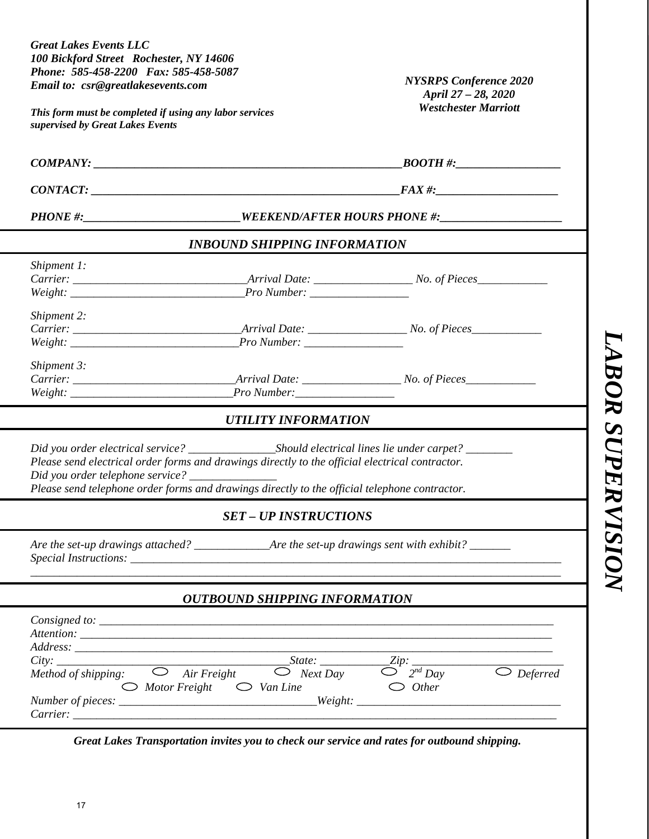| <b>Great Lakes Events LLC</b><br>100 Bickford Street Rochester, NY 14606<br>Phone: 585-458-2200 Fax: 585-458-5087<br>Email to: csr@greatlakesevents.com<br>This form must be completed if using any labor services<br>supervised by Great Lakes Events                                                                                                                                         | <b>NYSRPS Conference 2020</b><br>April 27 - 28, 2020<br><b>Westchester Marriott</b>        |                    |  |  |
|------------------------------------------------------------------------------------------------------------------------------------------------------------------------------------------------------------------------------------------------------------------------------------------------------------------------------------------------------------------------------------------------|--------------------------------------------------------------------------------------------|--------------------|--|--|
|                                                                                                                                                                                                                                                                                                                                                                                                |                                                                                            |                    |  |  |
|                                                                                                                                                                                                                                                                                                                                                                                                |                                                                                            |                    |  |  |
| PHONE #:____________________________WEEKEND/AFTER HOURS PHONE #:________________                                                                                                                                                                                                                                                                                                               |                                                                                            |                    |  |  |
| <b>INBOUND SHIPPING INFORMATION</b>                                                                                                                                                                                                                                                                                                                                                            |                                                                                            |                    |  |  |
| Shipment 1:<br>Weight: Pro Number:                                                                                                                                                                                                                                                                                                                                                             |                                                                                            |                    |  |  |
| Shipment 2:                                                                                                                                                                                                                                                                                                                                                                                    |                                                                                            |                    |  |  |
| Shipment 3:                                                                                                                                                                                                                                                                                                                                                                                    |                                                                                            | $\boldsymbol{BOR}$ |  |  |
| <b>UTILITY INFORMATION</b>                                                                                                                                                                                                                                                                                                                                                                     |                                                                                            |                    |  |  |
| Please send electrical order forms and drawings directly to the official electrical contractor.<br>Did you order telephone service? _____________<br>Please send telephone order forms and drawings directly to the official telephone contractor.                                                                                                                                             |                                                                                            | <b>SUPER</b>       |  |  |
| <b>SET - UP INSTRUCTIONS</b>                                                                                                                                                                                                                                                                                                                                                                   |                                                                                            |                    |  |  |
|                                                                                                                                                                                                                                                                                                                                                                                                |                                                                                            |                    |  |  |
| <b>OUTBOUND SHIPPING INFORMATION</b>                                                                                                                                                                                                                                                                                                                                                           |                                                                                            |                    |  |  |
| $Consider: Comsigned to: ________$<br>State:<br>$\bigcirc$ Air Freight<br>Next Day<br>Method of shipping:<br>$\bigcirc$ Motor Freight $\bigcirc$ Van Line<br>$\alpha$ , and the set of the set of the set of the set of the set of the set of the set of the set of the set of the set of the set of the set of the set of the set of the set of the set of the set of the set of the set of t | <i>_Zip</i> : ______<br>$2^{nd}$ Day<br>$\overline{\bigcirc}$ Deferred<br>$\bigcirc$ Other |                    |  |  |

*Great Lakes Transportation invites you to check our service and rates for outbound shipping.*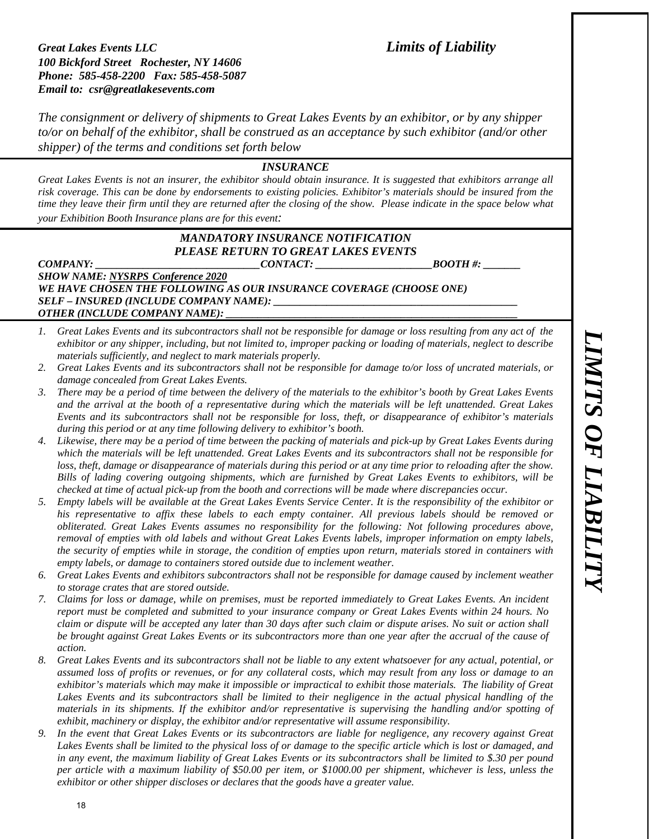*The consignment or delivery of shipments to Great Lakes Events by an exhibitor, or by any shipper to/or on behalf of the exhibitor, shall be construed as an acceptance by such exhibitor (and/or other shipper) of the terms and conditions set forth below* 

#### *INSURANCE*

*Great Lakes Events is not an insurer, the exhibitor should obtain insurance. It is suggested that exhibitors arrange all risk coverage. This can be done by endorsements to existing policies. Exhibitor's materials should be insured from the time they leave their firm until they are returned after the closing of the show. Please indicate in the space below what your Exhibition Booth Insurance plans are for this event:* 

#### *MANDATORY INSURANCE NOTIFICATION PLEASE RETURN TO GREAT LAKES EVENTS*

**COMPANY: CONTACT: BOOTH #: BOOTH #: BOOTH #: BOOTH #: BOOTH #: BOOTH #: BOOTH #: BOOTH #: BOOTH #: BOOTH #: BOOTH #: BOOTH #: BOOTH #: BOOTH #: BOOTH #: BOOTH #: BOOTH #: BOOTH #: B** *SHOW NAME: NYSRPS Conference 2020 WE HAVE CHOSEN THE FOLLOWING AS OUR INSURANCE COVERAGE (CHOOSE ONE) SELF – INSURED (INCLUDE COMPANY NAME): \_\_\_\_\_\_\_\_\_\_\_\_\_\_\_\_\_\_\_\_\_\_\_\_\_\_\_\_\_\_\_\_\_\_\_\_\_\_\_\_\_\_\_\_\_\_ OTHER (INCLUDE COMPANY NAME):* 

- *1. Great Lakes Events and its subcontractors shall not be responsible for damage or loss resulting from any act of the exhibitor or any shipper, including, but not limited to, improper packing or loading of materials, neglect to describe materials sufficiently, and neglect to mark materials properly.*
- *2. Great Lakes Events and its subcontractors shall not be responsible for damage to/or loss of uncrated materials, or damage concealed from Great Lakes Events.*
- *3. There may be a period of time between the delivery of the materials to the exhibitor's booth by Great Lakes Events and the arrival at the booth of a representative during which the materials will be left unattended. Great Lakes Events and its subcontractors shall not be responsible for loss, theft, or disappearance of exhibitor's materials during this period or at any time following delivery to exhibitor's booth.*
- *4. Likewise, there may be a period of time between the packing of materials and pick-up by Great Lakes Events during which the materials will be left unattended. Great Lakes Events and its subcontractors shall not be responsible for loss, theft, damage or disappearance of materials during this period or at any time prior to reloading after the show. Bills of lading covering outgoing shipments, which are furnished by Great Lakes Events to exhibitors, will be checked at time of actual pick-up from the booth and corrections will be made where discrepancies occur.*
- *5. Empty labels will be available at the Great Lakes Events Service Center. It is the responsibility of the exhibitor or his representative to affix these labels to each empty container. All previous labels should be removed or obliterated. Great Lakes Events assumes no responsibility for the following: Not following procedures above, removal of empties with old labels and without Great Lakes Events labels, improper information on empty labels, the security of empties while in storage, the condition of empties upon return, materials stored in containers with empty labels, or damage to containers stored outside due to inclement weather.*
- *6. Great Lakes Events and exhibitors subcontractors shall not be responsible for damage caused by inclement weather to storage crates that are stored outside.*
- *7. Claims for loss or damage, while on premises, must be reported immediately to Great Lakes Events. An incident report must be completed and submitted to your insurance company or Great Lakes Events within 24 hours. No claim or dispute will be accepted any later than 30 days after such claim or dispute arises. No suit or action shall*  be brought against Great Lakes Events or its subcontractors more than one year after the accrual of the cause of *action.*
- *8. Great Lakes Events and its subcontractors shall not be liable to any extent whatsoever for any actual, potential, or assumed loss of profits or revenues, or for any collateral costs, which may result from any loss or damage to an exhibitor's materials which may make it impossible or impractical to exhibit those materials. The liability of Great*  Lakes Events and its subcontractors shall be limited to their negligence in the actual physical handling of the *materials in its shipments. If the exhibitor and/or representative is supervising the handling and/or spotting of exhibit, machinery or display, the exhibitor and/or representative will assume responsibility.*
- *9. In the event that Great Lakes Events or its subcontractors are liable for negligence, any recovery against Great Lakes Events shall be limited to the physical loss of or damage to the specific article which is lost or damaged, and in any event, the maximum liability of Great Lakes Events or its subcontractors shall be limited to \$.30 per pound per article with a maximum liability of \$50.00 per item, or \$1000.00 per shipment, whichever is less, unless the exhibitor or other shipper discloses or declares that the goods have a greater value.*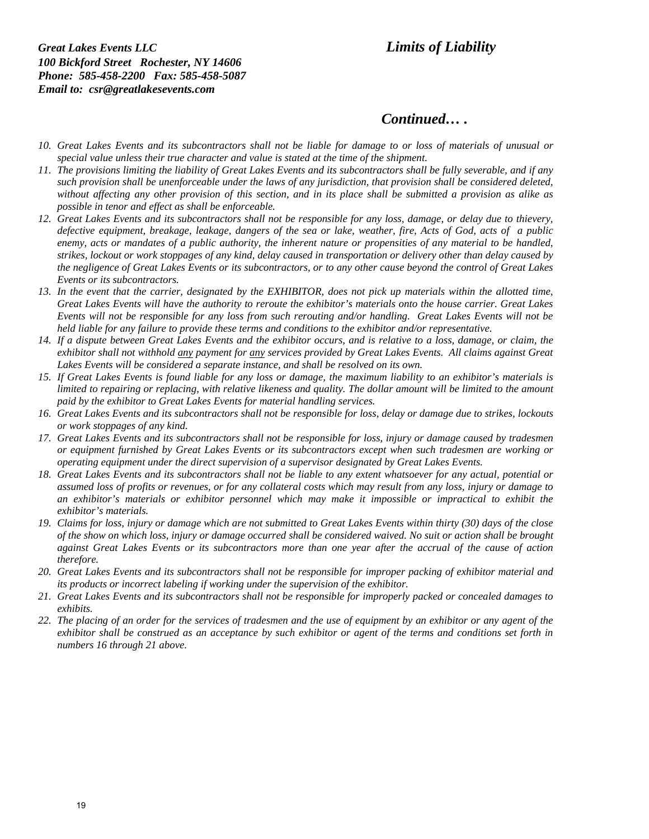# *Continued… .*

- *10. Great Lakes Events and its subcontractors shall not be liable for damage to or loss of materials of unusual or special value unless their true character and value is stated at the time of the shipment.*
- *11. The provisions limiting the liability of Great Lakes Events and its subcontractors shall be fully severable, and if any such provision shall be unenforceable under the laws of any jurisdiction, that provision shall be considered deleted, without affecting any other provision of this section, and in its place shall be submitted a provision as alike as possible in tenor and effect as shall be enforceable.*
- *12. Great Lakes Events and its subcontractors shall not be responsible for any loss, damage, or delay due to thievery, defective equipment, breakage, leakage, dangers of the sea or lake, weather, fire, Acts of God, acts of a public enemy, acts or mandates of a public authority, the inherent nature or propensities of any material to be handled, strikes, lockout or work stoppages of any kind, delay caused in transportation or delivery other than delay caused by the negligence of Great Lakes Events or its subcontractors, or to any other cause beyond the control of Great Lakes Events or its subcontractors.*
- 13. In the event that the carrier, designated by the EXHIBITOR, does not pick up materials within the allotted time, *Great Lakes Events will have the authority to reroute the exhibitor's materials onto the house carrier. Great Lakes Events will not be responsible for any loss from such rerouting and/or handling. Great Lakes Events will not be held liable for any failure to provide these terms and conditions to the exhibitor and/or representative.*
- *14. If a dispute between Great Lakes Events and the exhibitor occurs, and is relative to a loss, damage, or claim, the exhibitor shall not withhold any payment for any services provided by Great Lakes Events. All claims against Great Lakes Events will be considered a separate instance, and shall be resolved on its own.*
- *15. If Great Lakes Events is found liable for any loss or damage, the maximum liability to an exhibitor's materials is limited to repairing or replacing, with relative likeness and quality. The dollar amount will be limited to the amount paid by the exhibitor to Great Lakes Events for material handling services.*
- *16. Great Lakes Events and its subcontractors shall not be responsible for loss, delay or damage due to strikes, lockouts or work stoppages of any kind.*
- *17. Great Lakes Events and its subcontractors shall not be responsible for loss, injury or damage caused by tradesmen or equipment furnished by Great Lakes Events or its subcontractors except when such tradesmen are working or operating equipment under the direct supervision of a supervisor designated by Great Lakes Events.*
- *18. Great Lakes Events and its subcontractors shall not be liable to any extent whatsoever for any actual, potential or assumed loss of profits or revenues, or for any collateral costs which may result from any loss, injury or damage to an exhibitor's materials or exhibitor personnel which may make it impossible or impractical to exhibit the exhibitor's materials.*
- *19. Claims for loss, injury or damage which are not submitted to Great Lakes Events within thirty (30) days of the close of the show on which loss, injury or damage occurred shall be considered waived. No suit or action shall be brought against Great Lakes Events or its subcontractors more than one year after the accrual of the cause of action therefore.*
- *20. Great Lakes Events and its subcontractors shall not be responsible for improper packing of exhibitor material and its products or incorrect labeling if working under the supervision of the exhibitor.*
- *21. Great Lakes Events and its subcontractors shall not be responsible for improperly packed or concealed damages to exhibits.*
- *22. The placing of an order for the services of tradesmen and the use of equipment by an exhibitor or any agent of the exhibitor shall be construed as an acceptance by such exhibitor or agent of the terms and conditions set forth in numbers 16 through 21 above.*